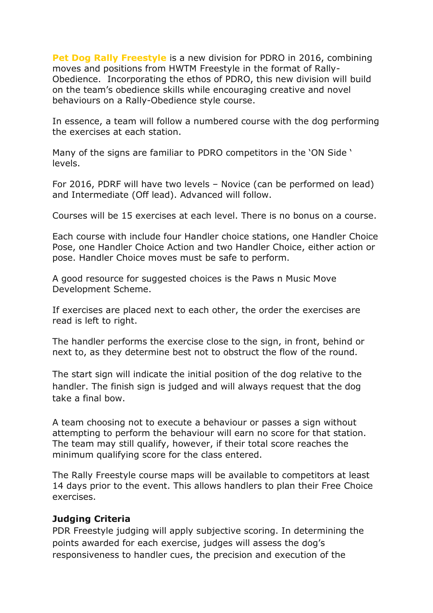**Pet Dog Rally Freestyle** is a new division for PDRO in 2016, combining moves and positions from HWTM Freestyle in the format of Rally-Obedience. Incorporating the ethos of PDRO, this new division will build on the team's obedience skills while encouraging creative and novel behaviours on a Rally-Obedience style course.

In essence, a team will follow a numbered course with the dog performing the exercises at each station.

Many of the signs are familiar to PDRO competitors in the 'ON Side ' levels.

For 2016, PDRF will have two levels – Novice (can be performed on lead) and Intermediate (Off lead). Advanced will follow.

Courses will be 15 exercises at each level. There is no bonus on a course.

Each course with include four Handler choice stations, one Handler Choice Pose, one Handler Choice Action and two Handler Choice, either action or pose. Handler Choice moves must be safe to perform.

A good resource for suggested choices is the Paws n Music Move Development Scheme.

If exercises are placed next to each other, the order the exercises are read is left to right.

The handler performs the exercise close to the sign, in front, behind or next to, as they determine best not to obstruct the flow of the round.

The start sign will indicate the initial position of the dog relative to the handler. The finish sign is judged and will always request that the dog take a final bow.

A team choosing not to execute a behaviour or passes a sign without attempting to perform the behaviour will earn no score for that station. The team may still qualify, however, if their total score reaches the minimum qualifying score for the class entered.

The Rally Freestyle course maps will be available to competitors at least 14 days prior to the event. This allows handlers to plan their Free Choice exercises.

#### **Judging Criteria**

PDR Freestyle judging will apply subjective scoring. In determining the points awarded for each exercise, judges will assess the dog's responsiveness to handler cues, the precision and execution of the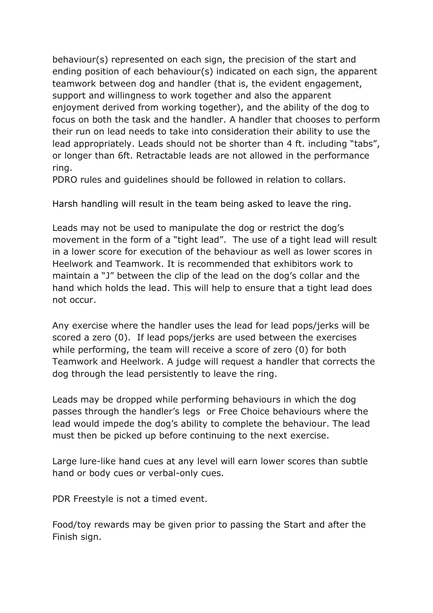behaviour(s) represented on each sign, the precision of the start and ending position of each behaviour(s) indicated on each sign, the apparent teamwork between dog and handler (that is, the evident engagement, support and willingness to work together and also the apparent enjoyment derived from working together), and the ability of the dog to focus on both the task and the handler. A handler that chooses to perform their run on lead needs to take into consideration their ability to use the lead appropriately. Leads should not be shorter than 4 ft. including "tabs", or longer than 6ft. Retractable leads are not allowed in the performance ring.

PDRO rules and guidelines should be followed in relation to collars.

Harsh handling will result in the team being asked to leave the ring.

Leads may not be used to manipulate the dog or restrict the dog's movement in the form of a "tight lead". The use of a tight lead will result in a lower score for execution of the behaviour as well as lower scores in Heelwork and Teamwork. It is recommended that exhibitors work to maintain a "J" between the clip of the lead on the dog's collar and the hand which holds the lead. This will help to ensure that a tight lead does not occur.

Any exercise where the handler uses the lead for lead pops/jerks will be scored a zero (0). If lead pops/jerks are used between the exercises while performing, the team will receive a score of zero (0) for both Teamwork and Heelwork. A judge will request a handler that corrects the dog through the lead persistently to leave the ring.

Leads may be dropped while performing behaviours in which the dog passes through the handler's legs or Free Choice behaviours where the lead would impede the dog's ability to complete the behaviour. The lead must then be picked up before continuing to the next exercise.

Large lure-like hand cues at any level will earn lower scores than subtle hand or body cues or verbal-only cues.

PDR Freestyle is not a timed event.

Food/toy rewards may be given prior to passing the Start and after the Finish sign.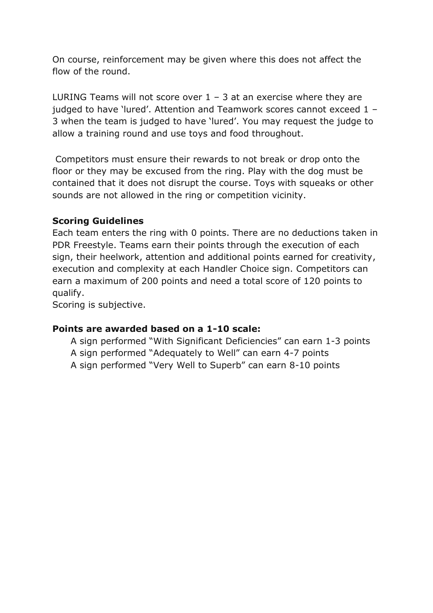On course, reinforcement may be given where this does not affect the flow of the round.

LURING Teams will not score over  $1 - 3$  at an exercise where they are judged to have 'lured'. Attention and Teamwork scores cannot exceed 1 – 3 when the team is judged to have 'lured'. You may request the judge to allow a training round and use toys and food throughout.

Competitors must ensure their rewards to not break or drop onto the floor or they may be excused from the ring. Play with the dog must be contained that it does not disrupt the course. Toys with squeaks or other sounds are not allowed in the ring or competition vicinity.

#### **Scoring Guidelines**

Each team enters the ring with 0 points. There are no deductions taken in PDR Freestyle. Teams earn their points through the execution of each sign, their heelwork, attention and additional points earned for creativity, execution and complexity at each Handler Choice sign. Competitors can earn a maximum of 200 points and need a total score of 120 points to qualify.

Scoring is subjective.

#### **Points are awarded based on a 1-10 scale:**

A sign performed "With Significant Deficiencies" can earn 1-3 points A sign performed "Adequately to Well" can earn 4-7 points A sign performed "Very Well to Superb" can earn 8-10 points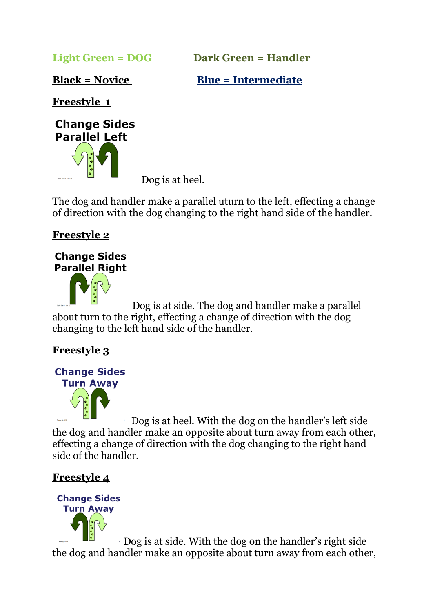**Light Green = DOG Dark Green = Handler**

**Black = Novice Blue = Intermediate** 

**Freestyle 1**



Dog is at heel.

The dog and handler make a parallel uturn to the left, effecting a change of direction with the dog changing to the right hand side of the handler.

**Freestyle 2**

## **Change Sides Parallel Right**



Dog is at side. The dog and handler make a parallel about turn to the right, effecting a change of direction with the dog changing to the left hand side of the handler.

# **Freestyle 3**



Dog is at heel. With the dog on the handler's left side the dog and handler make an opposite about turn away from each other, effecting a change of direction with the dog changing to the right hand side of the handler.

# **Freestyle 4**



Dog is at side. With the dog on the handler's right side the dog and handler make an opposite about turn away from each other,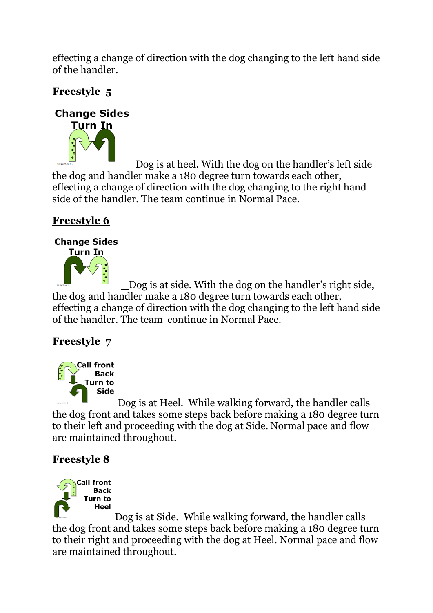effecting a change of direction with the dog changing to the left hand side of the handler.

# **Freestyle 5**

## **Change Sides**



Dog is at heel. With the dog on the handler's left side the dog and handler make a 180 degree turn towards each other, effecting a change of direction with the dog changing to the right hand side of the handler. The team continue in Normal Pace.

# **Freestyle 6**

# **Change Sides**



Dog is at side. With the dog on the handler's right side, the dog and handler make a 180 degree turn towards each other, effecting a change of direction with the dog changing to the left hand side of the handler. The team continue in Normal Pace.

## **Freestyle 7**



Dog is at Heel. While walking forward, the handler calls the dog front and takes some steps back before making a 180 degree turn to their left and proceeding with the dog at Side. Normal pace and flow are maintained throughout.

# **Freestyle 8**



Dog is at Side. While walking forward, the handler calls the dog front and takes some steps back before making a 180 degree turn to their right and proceeding with the dog at Heel. Normal pace and flow are maintained throughout.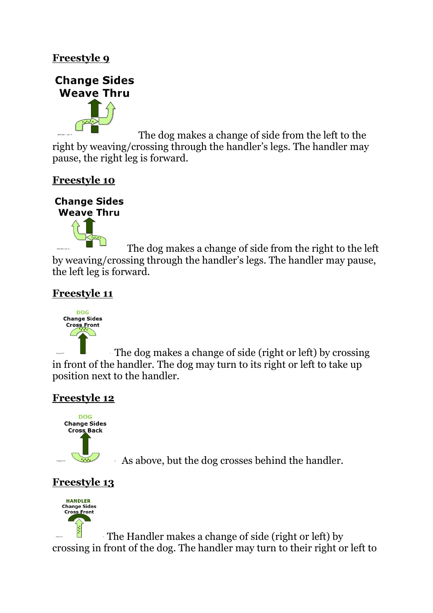



The dog makes a change of side from the left to the right by weaving/crossing through the handler's legs. The handler may pause, the right leg is forward.

## **Freestyle 10**



The dog makes a change of side from the right to the left by weaving/crossing through the handler's legs. The handler may pause, the left leg is forward.

## **Freestyle 11**



The dog makes a change of side (right or left) by crossing in front of the handler. The dog may turn to its right or left to take up position next to the handler.

# **Freestyle 12**



As above, but the dog crosses behind the handler.

# **Freestyle 13**



The Handler makes a change of side (right or left) by crossing in front of the dog. The handler may turn to their right or left to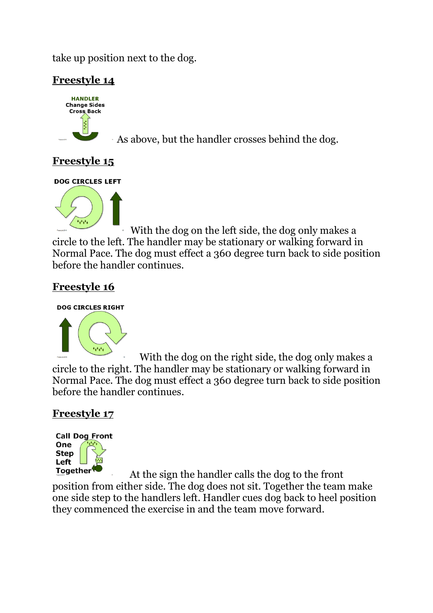take up position next to the dog.

## **Freestyle 14**



As above, but the handler crosses behind the dog.

## **Freestyle 15**

**DOG CIRCLES LEFT** 



With the dog on the left side, the dog only makes a circle to the left. The handler may be stationary or walking forward in Normal Pace. The dog must effect a 360 degree turn back to side position before the handler continues.

## **Freestyle 16**

#### **DOG CIRCLES RIGHT**



With the dog on the right side, the dog only makes a circle to the right. The handler may be stationary or walking forward in Normal Pace. The dog must effect a 360 degree turn back to side position before the handler continues.

## **Freestyle 17**



At the sign the handler calls the dog to the front position from either side. The dog does not sit. Together the team make one side step to the handlers left. Handler cues dog back to heel position they commenced the exercise in and the team move forward.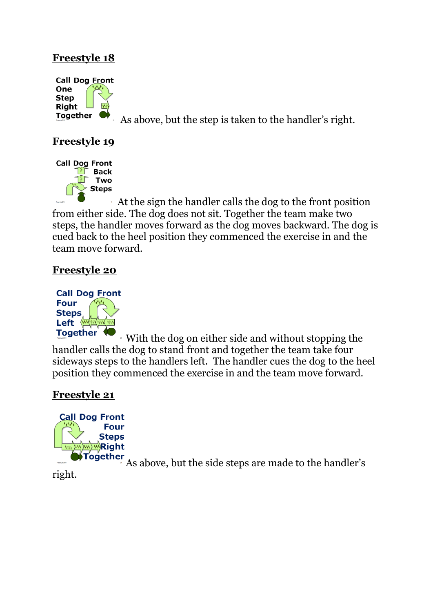

As above, but the step is taken to the handler's right.

## **Freestyle 19**



At the sign the handler calls the dog to the front position from either side. The dog does not sit. Together the team make two steps, the handler moves forward as the dog moves backward. The dog is cued back to the heel position they commenced the exercise in and the team move forward.

## **Freestyle 20**



With the dog on either side and without stopping the handler calls the dog to stand front and together the team take four sideways steps to the handlers left. The handler cues the dog to the heel position they commenced the exercise in and the team move forward.

## **Freestyle 21**



As above, but the side steps are made to the handler's

right.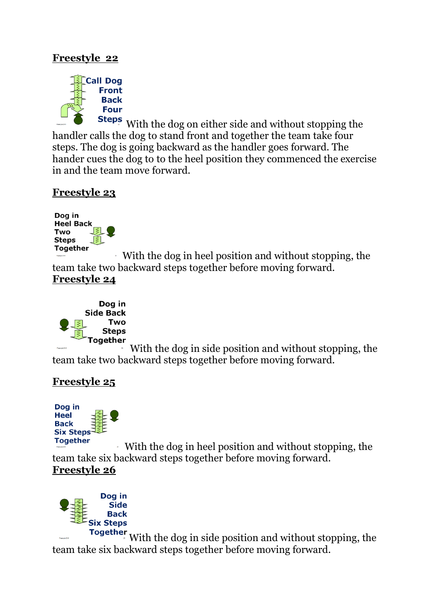

Steps With the dog on either side and without stopping the handler calls the dog to stand front and together the team take four steps. The dog is going backward as the handler goes forward. The hander cues the dog to to the heel position they commenced the exercise in and the team move forward.

#### **Freestyle 23**



With the dog in heel position and without stopping, the team take two backward steps together before moving forward. **Freestyle 24**



With the dog in side position and without stopping, the team take two backward steps together before moving forward.

## **Freestyle 25**



With the dog in heel position and without stopping, the team take six backward steps together before moving forward. **Freestyle 26**



With the dog in side position and without stopping, the team take six backward steps together before moving forward.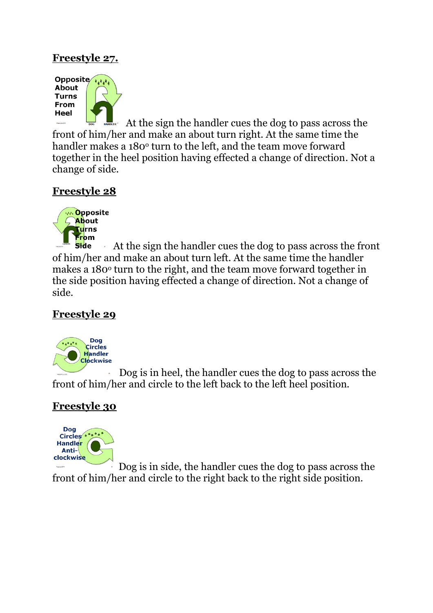## **Freestyle 27.**



 At the sign the handler cues the dog to pass across the front of him/her and make an about turn right. At the same time the handler makes a 180<sup>°</sup> turn to the left, and the team move forward together in the heel position having effected a change of direction. Not a change of side.

## **Freestyle 28**



**side**  At the sign the handler cues the dog to pass across the front of him/her and make an about turn left. At the same time the handler makes a 180<sup>o</sup> turn to the right, and the team move forward together in the side position having effected a change of direction. Not a change of side.

## **Freestyle 29**



 Dog is in heel, the handler cues the dog to pass across the front of him/her and circle to the left back to the left heel position.

## **Freestyle 30**



Dog is in side, the handler cues the dog to pass across the front of him/her and circle to the right back to the right side position.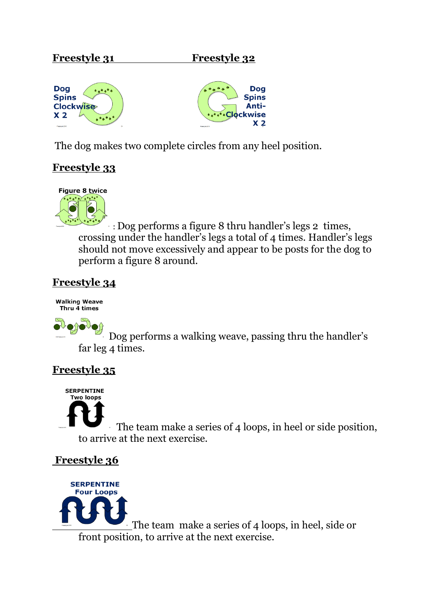#### **Freestyle 31 Freestyle 32**





The dog makes two complete circles from any heel position.

## **Freestyle 33**



: Dog performs a figure 8 thru handler's legs 2 times, crossing under the handler's legs a total of 4 times. Handler's legs should not move excessively and appear to be posts for the dog to perform a figure 8 around.

#### **Freestyle 34**

**Walking Weave** Thru 4 times



Dog performs a walking weave, passing thru the handler's far leg 4 times.

## **Freestyle 35**

**SERPENTINE Two loops** 

The team make a series of 4 loops, in heel or side position, to arrive at the next exercise.

## **Freestyle 36**

**SERPENTINE Four Loops** The team make a series of 4 loops, in heel, side or front position, to arrive at the next exercise.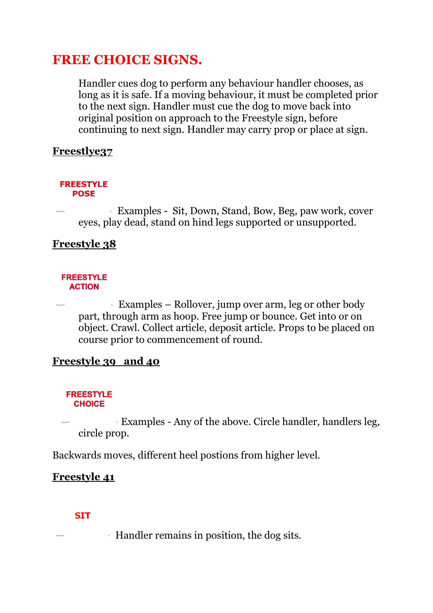# **FREE CHOICE SIGNS.**

Handler cues dog to perform any behaviour handler chooses, as long as it is safe. If a moving behaviour, it must be completed prior to the next sign. Handler must cue the dog to move back into original position on approach to the Freestyle sign, before continuing to next sign. Handler may carry prop or place at sign.

#### **Freestlye37**

#### **FREESTYLE POSE**

Examples - Sit, Down, Stand, Bow, Beg, paw work, cover eyes, play dead, stand on hind legs supported or unsupported.

#### **Freestyle 38**

#### **FREESTYLE ACTION**

Examples – Rollover, jump over arm, leg or other body part, through arm as hoop. Free jump or bounce. Get into or on object. Crawl. Collect article, deposit article. Props to be placed on course prior to commencement of round.

#### **Freestyle 39 and 40**

#### **FREESTYLE CHOICE**

Examples - Any of the above. Circle handler, handlers leg, circle prop.

Backwards moves, different heel postions from higher level.

## **Freestyle 41**

#### **SIT**

Handler remains in position, the dog sits.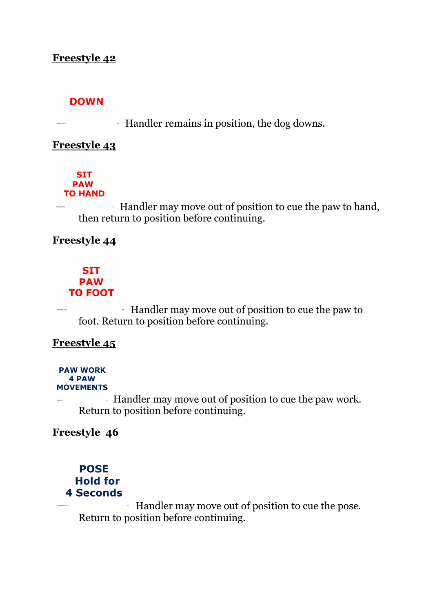#### **DOWN**

Handler remains in position, the dog downs.

#### **Freestyle 43**

#### **SIT PAW TO HAND**

Handler may move out of position to cue the paw to hand, then return to position before continuing.

#### **Freestyle 44**

#### **SIT PAW TO FOOT**

Handler may move out of position to cue the paw to foot. Return to position before continuing.

#### **Freestyle 45**

#### **PAW WORK** 4 PAW **MOVEMENTS**

Handler may move out of position to cue the paw work. Return to position before continuing.

## **Freestyle 46**

#### **POSE Hold for 4 Seconds**

Handler may move out of position to cue the pose. Return to position before continuing.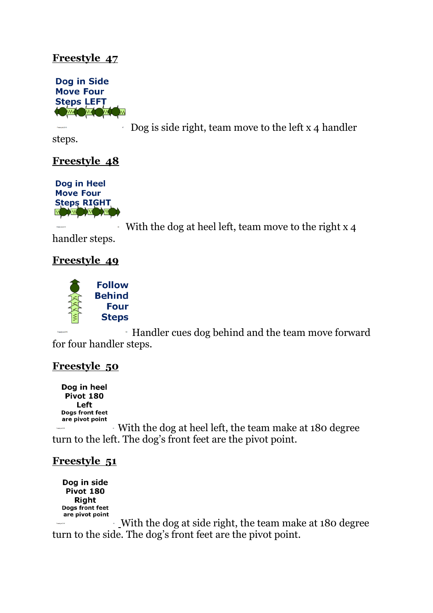

Dog is side right, team move to the left x 4 handler

steps.

## **Freestyle 48**



With the dog at heel left, team move to the right x 4 handler steps.

#### **Freestyle 49**



Handler cues dog behind and the team move forward for four handler steps.

#### **Freestyle 50**

Dog in heel **Pivot 180** Left Dogs front feet are pivot point

With the dog at heel left, the team make at 180 degree turn to the left. The dog's front feet are the pivot point.

## **Freestyle 51**

Dog in side Pivot 180 **Right** Dogs front feet are pivot point

With the dog at side right, the team make at 180 degree turn to the side. The dog's front feet are the pivot point.